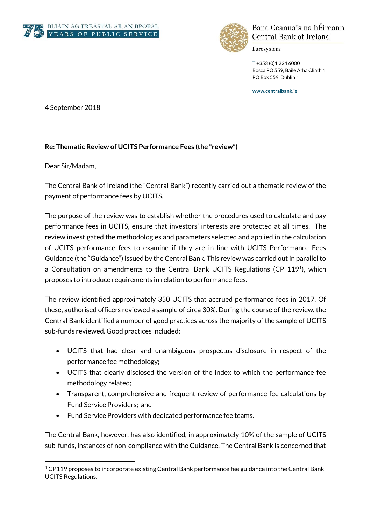



Banc Ceannais na hÉireann Central Bank of Ireland

Eurosystem

**T** +353 (0)1 224 6000 Bosca PO 559, Baile Átha Cliath 1 PO Box 559, Dublin 1

**www.centralbank.ie**

4 September 2018

## **Re: Thematic Review of UCITS Performance Fees (the "review")**

Dear Sir/Madam,

The Central Bank of Ireland (the "Central Bank") recently carried out a thematic review of the payment of performance fees by UCITS.

The purpose of the review was to establish whether the procedures used to calculate and pay performance fees in UCITS, ensure that investors' interests are protected at all times. The review investigated the methodologies and parameters selected and applied in the calculation of UCITS performance fees to examine if they are in line with UCITS Performance Fees Guidance (the "Guidance") issued by the Central Bank. This review was carried out in parallel to a Consultation on amendments to the Central Bank UCITS Regulations (CP 119<sup>1</sup>), which proposes to introduce requirements in relation to performance fees.

The review identified approximately 350 UCITS that accrued performance fees in 2017. Of these, authorised officers reviewed a sample of circa 30%. During the course of the review, the Central Bank identified a number of good practices across the majority of the sample of UCITS sub-funds reviewed. Good practices included:

- UCITS that had clear and unambiguous prospectus disclosure in respect of the performance fee methodology;
- UCITS that clearly disclosed the version of the index to which the performance fee methodology related;
- Transparent, comprehensive and frequent review of performance fee calculations by Fund Service Providers; and
- Fund Service Providers with dedicated performance fee teams.

The Central Bank, however, has also identified, in approximately 10% of the sample of UCITS sub-funds, instances of non-compliance with the Guidance. The Central Bank is concerned that

<sup>1</sup>  $1$  CP119 proposes to incorporate existing Central Bank performance fee guidance into the Central Bank UCITS Regulations.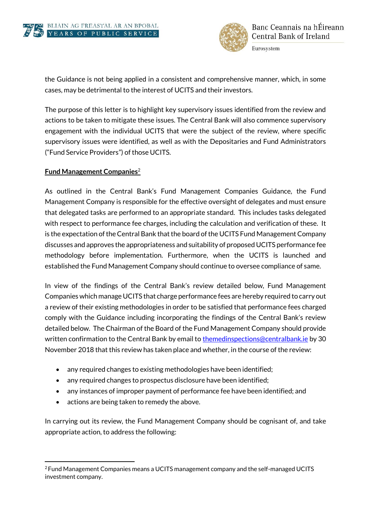



Eurosystem

the Guidance is not being applied in a consistent and comprehensive manner, which, in some cases, may be detrimental to the interest of UCITS and their investors.

The purpose of this letter is to highlight key supervisory issues identified from the review and actions to be taken to mitigate these issues. The Central Bank will also commence supervisory engagement with the individual UCITS that were the subject of the review, where specific supervisory issues were identified, as well as with the Depositaries and Fund Administrators ("Fund Service Providers") of those UCITS.

## **Fund Management Companies**<sup>2</sup>

As outlined in the Central Bank's Fund Management Companies Guidance, the Fund Management Company is responsible for the effective oversight of delegates and must ensure that delegated tasks are performed to an appropriate standard. This includes tasks delegated with respect to performance fee charges, including the calculation and verification of these. It is the expectation of the Central Bank that the board of the UCITS Fund Management Company discusses and approves the appropriateness and suitability of proposed UCITS performance fee methodology before implementation. Furthermore, when the UCITS is launched and established the Fund Management Company should continue to oversee compliance of same.

In view of the findings of the Central Bank's review detailed below, Fund Management Companies which manage UCITS that charge performance fees are hereby required to carry out a review of their existing methodologies in order to be satisfied that performance fees charged comply with the Guidance including incorporating the findings of the Central Bank's review detailed below. The Chairman of the Board of the Fund Management Company should provide written confirmation to the Central Bank by email to [themedinspections@centralbank.ie](mailto:themedinspections@centralbank.ie) by 30 November 2018 that this review has taken place and whether, in the course of the review:

- any required changes to existing methodologies have been identified;
- any required changes to prospectus disclosure have been identified;
- any instances of improper payment of performance fee have been identified; and
- actions are being taken to remedy the above.

In carrying out its review, the Fund Management Company should be cognisant of, and take appropriate action, to address the following:

<sup>1</sup> <sup>2</sup>Fund Management Companies means a UCITS management company and the self-managed UCITS investment company.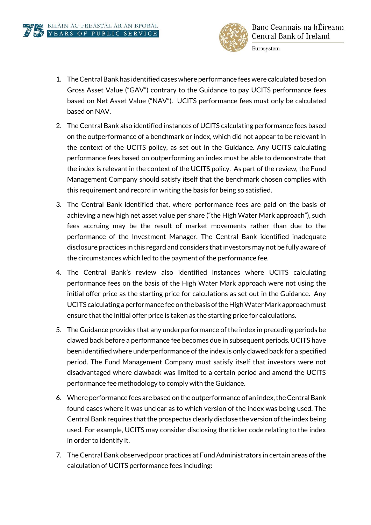

Eurosystem

- 1. The Central Bank has identified cases where performance fees were calculated based on Gross Asset Value ("GAV") contrary to the Guidance to pay UCITS performance fees based on Net Asset Value ("NAV"). UCITS performance fees must only be calculated based on NAV.
- 2. The Central Bank also identified instances of UCITS calculating performance fees based on the outperformance of a benchmark or index, which did not appear to be relevant in the context of the UCITS policy, as set out in the Guidance. Any UCITS calculating performance fees based on outperforming an index must be able to demonstrate that the index is relevant in the context of the UCITS policy. As part of the review, the Fund Management Company should satisfy itself that the benchmark chosen complies with this requirement and record in writing the basis for being so satisfied.
- 3. The Central Bank identified that, where performance fees are paid on the basis of achieving a new high net asset value per share ("the High Water Mark approach"), such fees accruing may be the result of market movements rather than due to the performance of the Investment Manager. The Central Bank identified inadequate disclosure practices in this regard and considers that investors may not be fully aware of the circumstances which led to the payment of the performance fee.
- 4. The Central Bank's review also identified instances where UCITS calculating performance fees on the basis of the High Water Mark approach were not using the initial offer price as the starting price for calculations as set out in the Guidance. Any UCITS calculating a performance fee on the basis of the High Water Mark approach must ensure that the initial offer price is taken as the starting price for calculations.
- 5. The Guidance provides that any underperformance of the index in preceding periods be clawed back before a performance fee becomes due in subsequent periods. UCITS have been identified where underperformance of the index is only clawed back for a specified period. The Fund Management Company must satisfy itself that investors were not disadvantaged where clawback was limited to a certain period and amend the UCITS performance fee methodology to comply with the Guidance.
- 6. Where performance fees are based on the outperformance of an index, the Central Bank found cases where it was unclear as to which version of the index was being used. The Central Bank requires that the prospectus clearly disclose the version of the index being used. For example, UCITS may consider disclosing the ticker code relating to the index in order to identify it.
- 7. The Central Bank observed poor practices at Fund Administrators in certain areas of the calculation of UCITS performance fees including: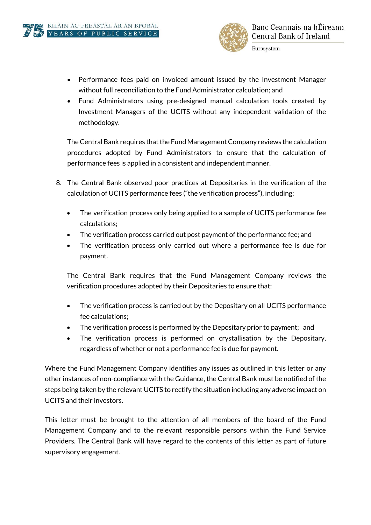

Eurosystem

- Performance fees paid on invoiced amount issued by the Investment Manager without full reconciliation to the Fund Administrator calculation; and
- Fund Administrators using pre-designed manual calculation tools created by Investment Managers of the UCITS without any independent validation of the methodology.

The Central Bank requires that the Fund Management Company reviews the calculation procedures adopted by Fund Administrators to ensure that the calculation of performance fees is applied in a consistent and independent manner.

- 8. The Central Bank observed poor practices at Depositaries in the verification of the calculation of UCITS performance fees ("the verification process"), including:
	- The verification process only being applied to a sample of UCITS performance fee calculations;
	- The verification process carried out post payment of the performance fee; and
	- The verification process only carried out where a performance fee is due for payment.

The Central Bank requires that the Fund Management Company reviews the verification procedures adopted by their Depositaries to ensure that:

- The verification process is carried out by the Depositary on all UCITS performance fee calculations;
- The verification process is performed by the Depositary prior to payment; and
- The verification process is performed on crystallisation by the Depositary, regardless of whether or not a performance fee is due for payment.

Where the Fund Management Company identifies any issues as outlined in this letter or any other instances of non-compliance with the Guidance, the Central Bank must be notified of the steps being taken by the relevant UCITS to rectify the situation including any adverse impact on UCITS and their investors.

This letter must be brought to the attention of all members of the board of the Fund Management Company and to the relevant responsible persons within the Fund Service Providers. The Central Bank will have regard to the contents of this letter as part of future supervisory engagement.